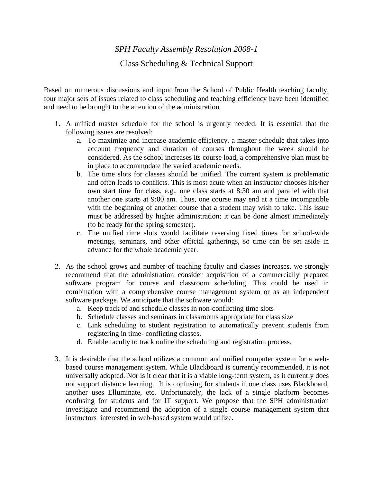*SPH Faculty Assembly Resolution 2008-1*

Class Scheduling & Technical Support

Based on numerous discussions and input from the School of Public Health teaching faculty, four major sets of issues related to class scheduling and teaching efficiency have been identified and need to be brought to the attention of the administration.

- 1. A unified master schedule for the school is urgently needed. It is essential that the following issues are resolved:
	- a. To maximize and increase academic efficiency, a master schedule that takes into account frequency and duration of courses throughout the week should be considered. As the school increases its course load, a comprehensive plan must be in place to accommodate the varied academic needs.
	- b. The time slots for classes should be unified. The current system is problematic and often leads to conflicts. This is most acute when an instructor chooses his/her own start time for class, e.g., one class starts at 8:30 am and parallel with that another one starts at 9:00 am. Thus, one course may end at a time incompatible with the beginning of another course that a student may wish to take. This issue must be addressed by higher administration; it can be done almost immediately (to be ready for the spring semester).
	- c. The unified time slots would facilitate reserving fixed times for school-wide meetings, seminars, and other official gatherings, so time can be set aside in advance for the whole academic year.
- 2. As the school grows and number of teaching faculty and classes increases, we strongly recommend that the administration consider acquisition of a commercially prepared software program for course and classroom scheduling. This could be used in combination with a comprehensive course management system or as an independent software package. We anticipate that the software would:
	- a. Keep track of and schedule classes in non-conflicting time slots
	- b. Schedule classes and seminars in classrooms appropriate for class size
	- c. Link scheduling to student registration to automatically prevent students from registering in time- conflicting classes.
	- d. Enable faculty to track online the scheduling and registration process.
- 3. It is desirable that the school utilizes a common and unified computer system for a webbased course management system. While Blackboard is currently recommended, it is not universally adopted. Nor is it clear that it is a viable long-term system, as it currently does not support distance learning. It is confusing for students if one class uses Blackboard, another uses Elluminate, etc. Unfortunately, the lack of a single platform becomes confusing for students and for IT support. We propose that the SPH administration investigate and recommend the adoption of a single course management system that instructors interested in web-based system would utilize.